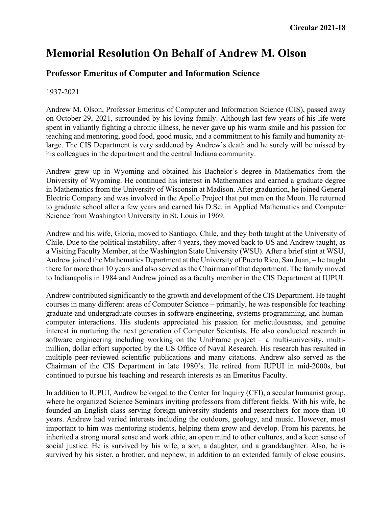## **Memorial Resolution On Behalf of Andrew M. Olson**

## **Professor Emeritus of Computer and Information Science**

## 1937-2021

Andrew M. Olson, Professor Emeritus of Computer and Information Science (CIS), passed away on October 29, 2021, surrounded by his loving family. Although last few years of his life were spent in valiantly fighting a chronic illness, he never gave up his warm smile and his passion for teaching and mentoring, good food, good music, and a commitment to his family and humanity atlarge. The CIS Department is very saddened by Andrew's death and he surely will be missed by his colleagues in the department and the central Indiana community.

Andrew grew up in Wyoming and obtained his Bachelor's degree in Mathematics from the University of Wyoming. He continued his interest in Mathematics and earned a graduate degree in Mathematics from the University of Wisconsin at Madison. After graduation, he joined General Electric Company and was involved in the Apollo Project that put men on the Moon. He returned to graduate school after a few years and earned his D.Sc. in Applied Mathematics and Computer Science from Washington University in St. Louis in 1969.

Andrew and his wife, Gloria, moved to Santiago, Chile, and they both taught at the University of Chile. Due to the political instability, after 4 years, they moved back to US and Andrew taught, as a Visiting Faculty Member, at the Washington State University (WSU). After a brief stint at WSU, Andrew joined the Mathematics Department at the University of Puerto Rico, San Juan, – he taught there for more than 10 years and also served as the Chairman of that department. The family moved to Indianapolis in 1984 and Andrew joined as a faculty member in the CIS Department at IUPUI.

Andrew contributed significantly to the growth and development of the CIS Department. He taught courses in many different areas of Computer Science – primarily, he was responsible for teaching graduate and undergraduate courses in software engineering, systems programming, and humancomputer interactions. His students appreciated his passion for meticulousness, and genuine interest in nurturing the next generation of Computer Scientists. He also conducted research in software engineering including working on the UniFrame project – a multi-university, multimillion, dollar effort supported by the US Office of Naval Research. His research has resulted in multiple peer-reviewed scientific publications and many citations. Andrew also served as the Chairman of the CIS Department in late 1980's. He retired from IUPUI in mid-2000s, but continued to pursue his teaching and research interests as an Emeritus Faculty.

In addition to IUPUI, Andrew belonged to the Center for Inquiry (CFI), a secular humanist group, where he organized Science Seminars inviting professors from different fields. With his wife, he founded an English class serving foreign university students and researchers for more than 10 years. Andrew had varied interests including the outdoors, geology, and music. However, most important to him was mentoring students, helping them grow and develop. From his parents, he inherited a strong moral sense and work ethic, an open mind to other cultures, and a keen sense of social justice. He is survived by his wife, a son, a daughter, and a granddaughter. Also, he is survived by his sister, a brother, and nephew, in addition to an extended family of close cousins.